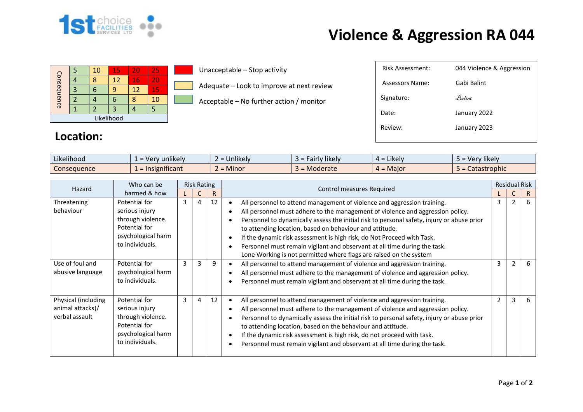

## **Violence & Aggression RA 044**

| Consequence |  | 10 | 15 | 20 | 25 |  |  |
|-------------|--|----|----|----|----|--|--|
|             |  |    | 12 | 16 | 20 |  |  |
|             |  |    |    | 12 | 15 |  |  |
|             |  |    |    |    | 10 |  |  |
|             |  |    | 3  |    |    |  |  |
| Likelihood  |  |    |    |    |    |  |  |

Unacceptable – Stop activity

Adequate – Look to improve at next review

Acceptable – No further action / monitor

| Assessors Name: | Gabi Balint  |
|-----------------|--------------|
| Signature:      | Balint       |
| Date:           | January 2022 |
| Review:         | January 2023 |
|                 |              |

## **Location:**

| $\cdots$<br>$\cdots$<br>Likelihood | sunlikely and the set of the control of the control of the control of the control of the control of the control of the control of the control of the control of the control of the control of the control of the control of th<br>. ver | $\cdots$<br><b>Unlikel</b> | $\cdots$<br><b>Hikely</b><br>۱۳۱۱ ه.<br>Tall IV | $\cdot$ .<br>Likelv<br>$\Delta =$ | $\cdots$<br>Very likely |
|------------------------------------|-----------------------------------------------------------------------------------------------------------------------------------------------------------------------------------------------------------------------------------------|----------------------------|-------------------------------------------------|-----------------------------------|-------------------------|
| Consequence                        | .<br>$\mathcal{L}$ = Insignificant                                                                                                                                                                                                      | Minor<br>-                 | Moderate                                        | Maior<br>$4 =$                    | Catastrophic            |

| Hazard                                                    | Who can be                                                                                                     | <b>Risk Rating</b> |                |    |                                                                                                                                                                                                                                                                                                                                                                                                                                                                                                                                                 | <b>Residual Risk</b> |                |   |
|-----------------------------------------------------------|----------------------------------------------------------------------------------------------------------------|--------------------|----------------|----|-------------------------------------------------------------------------------------------------------------------------------------------------------------------------------------------------------------------------------------------------------------------------------------------------------------------------------------------------------------------------------------------------------------------------------------------------------------------------------------------------------------------------------------------------|----------------------|----------------|---|
|                                                           | harmed & how                                                                                                   |                    |                | R. | Control measures Required                                                                                                                                                                                                                                                                                                                                                                                                                                                                                                                       |                      | Ć              |   |
| Threatening<br>behaviour                                  | Potential for<br>serious injury<br>through violence.<br>Potential for<br>psychological harm<br>to individuals. | $\mathbf{3}$       | $\overline{4}$ | 12 | All personnel to attend management of violence and aggression training.<br>All personnel must adhere to the management of violence and aggression policy.<br>Personnel to dynamically assess the initial risk to personal safety, injury or abuse prior<br>to attending location, based on behaviour and attitude.<br>If the dynamic risk assessment is high risk, do Not Proceed with Task.<br>Personnel must remain vigilant and observant at all time during the task.<br>Lone Working is not permitted where flags are raised on the system | 3                    | $\mathfrak{p}$ | 6 |
| Use of foul and<br>abusive language                       | Potential for<br>psychological harm<br>to individuals.                                                         | 3                  | 3              | 9  | All personnel to attend management of violence and aggression training.<br>All personnel must adhere to the management of violence and aggression policy.<br>Personnel must remain vigilant and observant at all time during the task.                                                                                                                                                                                                                                                                                                          | 3                    | $\mathfrak{p}$ | 6 |
| Physical (including<br>animal attacks)/<br>verbal assault | Potential for<br>serious injury<br>through violence.<br>Potential for<br>psychological harm<br>to individuals. | $\mathbf{3}$       | 4              | 12 | All personnel to attend management of violence and aggression training.<br>All personnel must adhere to the management of violence and aggression policy.<br>Personnel to dynamically assess the initial risk to personal safety, injury or abuse prior<br>to attending location, based on the behaviour and attitude.<br>If the dynamic risk assessment is high risk, do not proceed with task.<br>Personnel must remain vigilant and observant at all time during the task.                                                                   | 2                    | 3              | 6 |